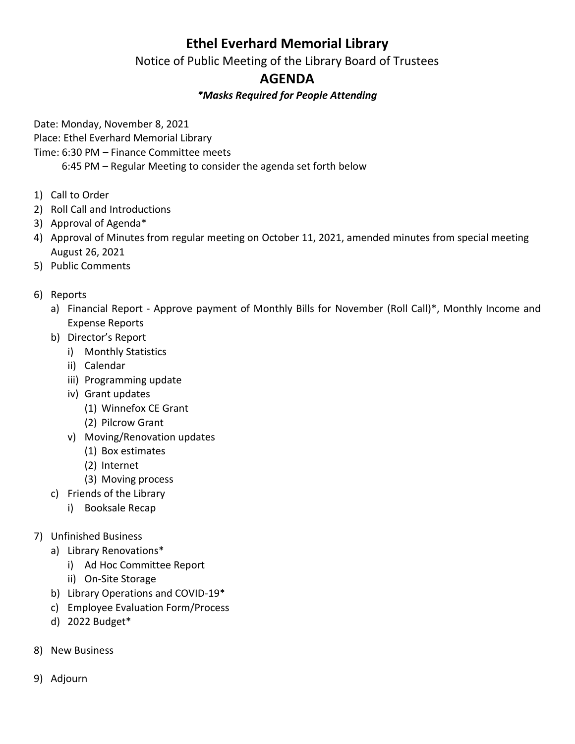## **Ethel Everhard Memorial Library**

Notice of Public Meeting of the Library Board of Trustees

## **AGENDA**

## *\*Masks Required for People Attending*

Date: Monday, November 8, 2021

Place: Ethel Everhard Memorial Library

Time: 6:30 PM – Finance Committee meets

6:45 PM – Regular Meeting to consider the agenda set forth below

- 1) Call to Order
- 2) Roll Call and Introductions
- 3) Approval of Agenda\*
- 4) Approval of Minutes from regular meeting on October 11, 2021, amended minutes from special meeting August 26, 2021
- 5) Public Comments
- 6) Reports
	- a) Financial Report Approve payment of Monthly Bills for November (Roll Call)\*, Monthly Income and Expense Reports
	- b) Director's Report
		- i) Monthly Statistics
		- ii) Calendar
		- iii) Programming update
		- iv) Grant updates
			- (1) Winnefox CE Grant
			- (2) Pilcrow Grant
		- v) Moving/Renovation updates
			- (1) Box estimates
			- (2) Internet
			- (3) Moving process
	- c) Friends of the Library
		- i) Booksale Recap
- 7) Unfinished Business
	- a) Library Renovations\*
		- i) Ad Hoc Committee Report
		- ii) On-Site Storage
	- b) Library Operations and COVID-19\*
	- c) Employee Evaluation Form/Process
	- d) 2022 Budget\*
- 8) New Business
- 9) Adjourn